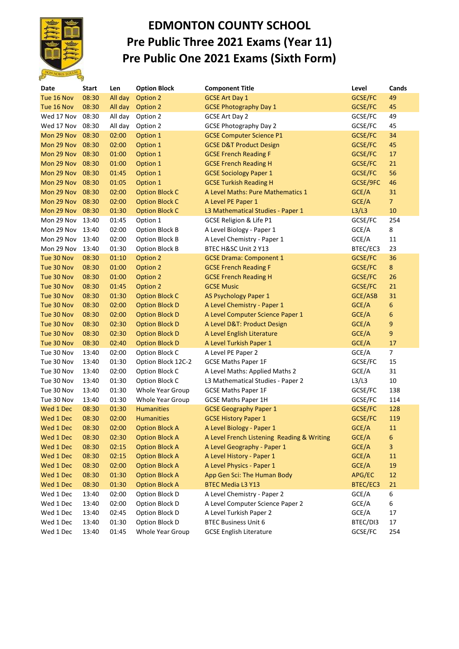

## **EDMONTON COUNTY SCHOOL Pre Public Three 2021 Exams (Year 11) Pre Public One 2021 Exams (Sixth Form)**

| Date       | <b>Start</b> | Len     | <b>Option Block</b>   | <b>Component Title</b>                                                  | Level    | Cands          |
|------------|--------------|---------|-----------------------|-------------------------------------------------------------------------|----------|----------------|
| Tue 16 Nov | 08:30        | All day | Option 2              | <b>GCSE Art Day 1</b>                                                   | GCSE/FC  | 49             |
| Tue 16 Nov | 08:30        | All day | Option 2              | <b>GCSE Photography Day 1</b>                                           | GCSE/FC  | 45             |
| Wed 17 Nov | 08:30        | All day | Option 2              | <b>GCSE Art Day 2</b>                                                   | GCSE/FC  | 49             |
| Wed 17 Nov | 08:30        | All day | Option 2              | <b>GCSE Photography Day 2</b>                                           | GCSE/FC  | 45             |
| Mon 29 Nov | 08:30        | 02:00   | Option 1              | <b>GCSE Computer Science P1</b>                                         | GCSE/FC  | 34             |
| Mon 29 Nov | 08:30        | 02:00   | Option 1              | <b>GCSE D&amp;T Product Design</b>                                      | GCSE/FC  | 45             |
| Mon 29 Nov | 08:30        | 01:00   | Option 1              | <b>GCSE French Reading F</b>                                            | GCSE/FC  | 17             |
| Mon 29 Nov | 08:30        | 01:00   | Option 1              | <b>GCSE French Reading H</b>                                            | GCSE/FC  | 21             |
| Mon 29 Nov | 08:30        | 01:45   | Option 1              | <b>GCSE Sociology Paper 1</b>                                           | GCSE/FC  | 56             |
| Mon 29 Nov | 08:30        | 01:05   | Option 1              | <b>GCSE Turkish Reading H</b>                                           | GCSE/9FC | 46             |
| Mon 29 Nov | 08:30        | 02:00   | <b>Option Block C</b> | A Level Maths: Pure Mathematics 1                                       | GCE/A    | 31             |
| Mon 29 Nov | 08:30        | 02:00   | <b>Option Block C</b> | A Level PE Paper 1                                                      | GCE/A    | 7 <sup>7</sup> |
| Mon 29 Nov | 08:30        | 01:30   | <b>Option Block C</b> | L3 Mathematical Studies - Paper 1                                       | L3/L3    | 10             |
| Mon 29 Nov | 13:40        | 01:45   | Option 1              | GCSE Religion & Life P1                                                 | GCSE/FC  | 254            |
| Mon 29 Nov | 13:40        | 02:00   | Option Block B        | A Level Biology - Paper 1                                               | GCE/A    | 8              |
| Mon 29 Nov | 13:40        | 02:00   | Option Block B        | A Level Chemistry - Paper 1                                             | GCE/A    | 11             |
| Mon 29 Nov | 13:40        | 01:30   | Option Block B        | BTEC H&SC Unit 2 Y13                                                    | BTEC/EC3 | 23             |
| Tue 30 Nov | 08:30        | 01:10   | Option 2              | <b>GCSE Drama: Component 1</b>                                          | GCSE/FC  | 36             |
| Tue 30 Nov | 08:30        | 01:00   | Option 2              | <b>GCSE French Reading F</b>                                            | GCSE/FC  | $8\phantom{.}$ |
| Tue 30 Nov | 08:30        | 01:00   | Option 2              | <b>GCSE French Reading H</b>                                            | GCSE/FC  | 26             |
| Tue 30 Nov | 08:30        | 01:45   | Option 2              | <b>GCSE Music</b>                                                       | GCSE/FC  | 21             |
| Tue 30 Nov | 08:30        | 01:30   | <b>Option Block C</b> | AS Psychology Paper 1                                                   | GCE/ASB  | 31             |
| Tue 30 Nov | 08:30        | 02:00   | <b>Option Block D</b> | A Level Chemistry - Paper 1                                             | GCE/A    | $6\phantom{a}$ |
| Tue 30 Nov | 08:30        | 02:00   | <b>Option Block D</b> | A Level Computer Science Paper 1                                        | GCE/A    | $6\phantom{a}$ |
| Tue 30 Nov | 08:30        | 02:30   | <b>Option Block D</b> | A Level D&T: Product Design                                             | GCE/A    | 9              |
| Tue 30 Nov | 08:30        | 02:30   | <b>Option Block D</b> | A Level English Literature                                              | GCE/A    | 9              |
| Tue 30 Nov | 08:30        | 02:40   | <b>Option Block D</b> | A Level Turkish Paper 1                                                 | GCE/A    | 17             |
| Tue 30 Nov | 13:40        | 02:00   | Option Block C        | A Level PE Paper 2                                                      | GCE/A    | $\overline{7}$ |
| Tue 30 Nov | 13:40        | 01:30   | Option Block 12C-2    | <b>GCSE Maths Paper 1F</b>                                              | GCSE/FC  | 15             |
| Tue 30 Nov | 13:40        | 02:00   | Option Block C        | A Level Maths: Applied Maths 2                                          | GCE/A    | 31             |
| Tue 30 Nov | 13:40        | 01:30   | Option Block C        | L3 Mathematical Studies - Paper 2                                       | L3/L3    | 10             |
| Tue 30 Nov | 13:40        | 01:30   | Whole Year Group      | <b>GCSE Maths Paper 1F</b>                                              | GCSE/FC  | 138            |
| Tue 30 Nov | 13:40        | 01:30   | Whole Year Group      | <b>GCSE Maths Paper 1H</b>                                              | GCSE/FC  | 114            |
| Wed 1 Dec  | 08:30        | 01:30   | <b>Humanities</b>     | <b>GCSE Geography Paper 1</b>                                           | GCSE/FC  | 128            |
| Wed 1 Dec  | 08:30        | 02:00   | <b>Humanities</b>     | <b>GCSE History Paper 1</b>                                             | GCSE/FC  | 119            |
| Wed 1 Dec  | 08:30        | 02:00   | <b>Option Block A</b> |                                                                         | GCE/A    | 11             |
| Wed 1 Dec  | 08:30        | 02:30   | <b>Option Block A</b> | A Level Biology - Paper 1<br>A Level French Listening Reading & Writing | GCE/A    | 6              |
| Wed 1 Dec  | 08:30        | 02:15   | <b>Option Block A</b> | A Level Geography - Paper 1                                             | GCE/A    | 3              |
|            |              |         |                       |                                                                         |          |                |
| Wed 1 Dec  | 08:30        | 02:15   | <b>Option Block A</b> | A Level History - Paper 1                                               | GCE/A    | 11             |
| Wed 1 Dec  | 08:30        | 02:00   | <b>Option Block A</b> | A Level Physics - Paper 1                                               | GCE/A    | 19             |
| Wed 1 Dec  | 08:30        | 01:30   | <b>Option Block A</b> | App Gen Sci: The Human Body                                             | APG/EC   | 12             |
| Wed 1 Dec  | 08:30        | 01:30   | <b>Option Block A</b> | <b>BTEC Media L3 Y13</b>                                                | BTEC/EC3 | 21             |
| Wed 1 Dec  | 13:40        | 02:00   | Option Block D        | A Level Chemistry - Paper 2                                             | GCE/A    | 6              |
| Wed 1 Dec  | 13:40        | 02:00   | Option Block D        | A Level Computer Science Paper 2                                        | GCE/A    | 6              |
| Wed 1 Dec  | 13:40        | 02:45   | Option Block D        | A Level Turkish Paper 2                                                 | GCE/A    | 17             |
| Wed 1 Dec  | 13:40        | 01:30   | Option Block D        | <b>BTEC Business Unit 6</b>                                             | BTEC/DI3 | 17             |
| Wed 1 Dec  | 13:40        | 01:45   | Whole Year Group      | <b>GCSE English Literature</b>                                          | GCSE/FC  | 254            |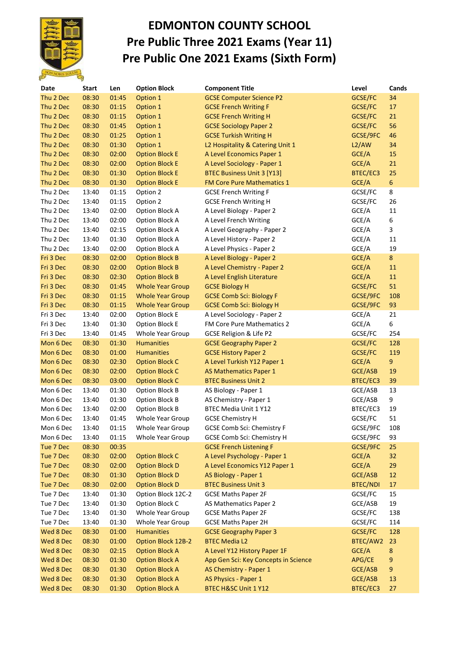

## **EDMONTON COUNTY SCHOOL Pre Public Three 2021 Exams (Year 11) Pre Public One 2021 Exams (Sixth Form)**

| Date      | <b>Start</b> | Len   | <b>Option Block</b>       | <b>Component Title</b>               | Level           | Cands           |
|-----------|--------------|-------|---------------------------|--------------------------------------|-----------------|-----------------|
| Thu 2 Dec | 08:30        | 01:45 | Option 1                  | <b>GCSE Computer Science P2</b>      | GCSE/FC         | 34              |
| Thu 2 Dec | 08:30        | 01:15 | Option 1                  | <b>GCSE French Writing F</b>         | GCSE/FC         | 17              |
| Thu 2 Dec | 08:30        | 01:15 | Option 1                  | <b>GCSE French Writing H</b>         | GCSE/FC         | 21              |
| Thu 2 Dec | 08:30        | 01:45 | Option 1                  | <b>GCSE Sociology Paper 2</b>        | GCSE/FC         | 56              |
| Thu 2 Dec | 08:30        | 01:25 | Option 1                  | <b>GCSE Turkish Writing H</b>        | GCSE/9FC        | 46              |
| Thu 2 Dec | 08:30        | 01:30 | Option 1                  | L2 Hospitality & Catering Unit 1     | L2/AW           | 34              |
| Thu 2 Dec | 08:30        | 02:00 | <b>Option Block E</b>     | A Level Economics Paper 1            | GCE/A           | 15              |
| Thu 2 Dec | 08:30        | 02:00 | <b>Option Block E</b>     | A Level Sociology - Paper 1          | GCE/A           | 21              |
| Thu 2 Dec | 08:30        | 01:30 | <b>Option Block E</b>     | <b>BTEC Business Unit 3 [Y13]</b>    | BTEC/EC3        | 25              |
| Thu 2 Dec | 08:30        | 01:30 | <b>Option Block E</b>     | FM Core Pure Mathematics 1           | GCE/A           | $6\phantom{.}6$ |
| Thu 2 Dec | 13:40        | 01:15 | Option 2                  | <b>GCSE French Writing F</b>         | GCSE/FC         | 8               |
| Thu 2 Dec | 13:40        | 01:15 | Option 2                  | <b>GCSE French Writing H</b>         | GCSE/FC         | 26              |
| Thu 2 Dec | 13:40        | 02:00 | Option Block A            | A Level Biology - Paper 2            | GCE/A           | 11              |
| Thu 2 Dec | 13:40        | 02:00 | Option Block A            | A Level French Writing               | GCE/A           | 6               |
| Thu 2 Dec | 13:40        | 02:15 | Option Block A            | A Level Geography - Paper 2          | GCE/A           | 3               |
| Thu 2 Dec | 13:40        | 01:30 | Option Block A            | A Level History - Paper 2            | GCE/A           | 11              |
| Thu 2 Dec | 13:40        | 02:00 | Option Block A            | A Level Physics - Paper 2            | GCE/A           | 19              |
| Fri 3 Dec | 08:30        | 02:00 | <b>Option Block B</b>     | A Level Biology - Paper 2            | GCE/A           | 8               |
| Fri 3 Dec | 08:30        | 02:00 | <b>Option Block B</b>     | A Level Chemistry - Paper 2          | GCE/A           | 11              |
| Fri 3 Dec | 08:30        | 02:30 | <b>Option Block B</b>     | A Level English Literature           | GCE/A           | 11              |
| Fri 3 Dec | 08:30        | 01:45 | <b>Whole Year Group</b>   | <b>GCSE Biology H</b>                | GCSE/FC         | 51              |
| Fri 3 Dec | 08:30        | 01:15 | <b>Whole Year Group</b>   | <b>GCSE Comb Sci: Biology F</b>      | GCSE/9FC        | 108             |
| Fri 3 Dec | 08:30        | 01:15 | <b>Whole Year Group</b>   | <b>GCSE Comb Sci: Biology H</b>      | GCSE/9FC        | 93              |
| Fri 3 Dec | 13:40        | 02:00 | <b>Option Block E</b>     | A Level Sociology - Paper 2          | GCE/A           | 21              |
| Fri 3 Dec | 13:40        | 01:30 | Option Block E            | FM Core Pure Mathematics 2           | GCE/A           | 6               |
| Fri 3 Dec | 13:40        | 01:45 | Whole Year Group          | GCSE Religion & Life P2              | GCSE/FC         | 254             |
| Mon 6 Dec | 08:30        | 01:30 | <b>Humanities</b>         | <b>GCSE Geography Paper 2</b>        | GCSE/FC         | 128             |
| Mon 6 Dec | 08:30        | 01:00 | <b>Humanities</b>         | <b>GCSE History Paper 2</b>          | GCSE/FC         | 119             |
| Mon 6 Dec | 08:30        | 02:30 | <b>Option Block C</b>     | A Level Turkish Y12 Paper 1          | GCE/A           | 9               |
| Mon 6 Dec | 08:30        | 02:00 | <b>Option Block C</b>     | AS Mathematics Paper 1               | GCE/ASB         | 19              |
| Mon 6 Dec | 08:30        | 03:00 | <b>Option Block C</b>     | <b>BTEC Business Unit 2</b>          | BTEC/EC3        | 39              |
| Mon 6 Dec | 13:40        | 01:30 | Option Block B            | AS Biology - Paper 1                 | GCE/ASB         | 13              |
| Mon 6 Dec | 13:40        | 01:30 | Option Block B            | AS Chemistry - Paper 1               | GCE/ASB         | 9               |
| Mon 6 Dec | 13:40        | 02:00 | Option Block B            | BTEC Media Unit 1 Y12                | BTEC/EC3        | 19              |
| Mon 6 Dec | 13:40        | 01:45 | Whole Year Group          | <b>GCSE Chemistry H</b>              | GCSE/FC         | 51              |
| Mon 6 Dec | 13:40        | 01:15 | Whole Year Group          | <b>GCSE Comb Sci: Chemistry F</b>    | GCSE/9FC        | 108             |
| Mon 6 Dec | 13:40        | 01:15 | Whole Year Group          | <b>GCSE Comb Sci: Chemistry H</b>    | GCSE/9FC        | 93              |
| Tue 7 Dec | 08:30        | 00:35 |                           | <b>GCSE French Listening F</b>       | GCSE/9FC        | 25              |
| Tue 7 Dec | 08:30        | 02:00 | <b>Option Block C</b>     | A Level Psychology - Paper 1         | GCE/A           | 32              |
| Tue 7 Dec | 08:30        | 02:00 | <b>Option Block D</b>     | A Level Economics Y12 Paper 1        | GCE/A           | 29              |
| Tue 7 Dec | 08:30        | 01:30 | <b>Option Block D</b>     | AS Biology - Paper 1                 | GCE/ASB         | 12              |
| Tue 7 Dec | 08:30        | 02:00 | <b>Option Block D</b>     | <b>BTEC Business Unit 3</b>          | <b>BTEC/NDI</b> | 17              |
| Tue 7 Dec | 13:40        | 01:30 | Option Block 12C-2        | <b>GCSE Maths Paper 2F</b>           | GCSE/FC         | 15              |
| Tue 7 Dec | 13:40        | 01:30 | Option Block C            | AS Mathematics Paper 2               | GCE/ASB         | 19              |
| Tue 7 Dec | 13:40        | 01:30 | Whole Year Group          | <b>GCSE Maths Paper 2F</b>           | GCSE/FC         | 138             |
| Tue 7 Dec | 13:40        | 01:30 | Whole Year Group          | <b>GCSE Maths Paper 2H</b>           | GCSE/FC         | 114             |
| Wed 8 Dec | 08:30        | 01:00 | <b>Humanities</b>         | <b>GCSE Geography Paper 3</b>        | GCSE/FC         | 128             |
| Wed 8 Dec | 08:30        | 01:00 | <b>Option Block 12B-2</b> | <b>BTEC Media L2</b>                 | BTEC/AW2        | 23              |
| Wed 8 Dec | 08:30        | 02:15 | <b>Option Block A</b>     | A Level Y12 History Paper 1F         | GCE/A           | 8               |
| Wed 8 Dec | 08:30        | 01:30 | <b>Option Block A</b>     | App Gen Sci: Key Concepts in Science | APG/CE          | 9               |
| Wed 8 Dec | 08:30        | 01:30 | <b>Option Block A</b>     | AS Chemistry - Paper 1               | GCE/ASB         | 9               |
| Wed 8 Dec | 08:30        | 01:30 | <b>Option Block A</b>     | AS Physics - Paper 1                 | GCE/ASB         | 13              |
| Wed 8 Dec | 08:30        | 01:30 | <b>Option Block A</b>     | BTEC H&SC Unit 1 Y12                 | BTEC/EC3        | 27              |